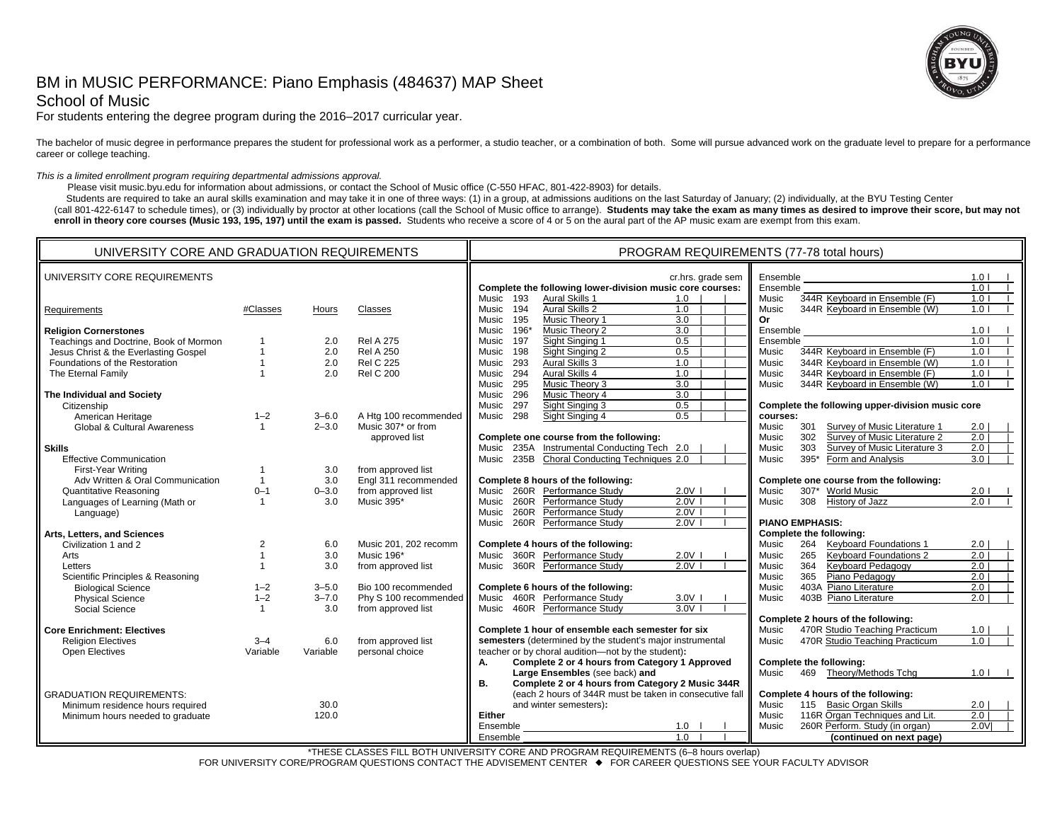# BM in MUSIC PERFORMANCE: Piano Emphasis (484637) MAP Sheet



School of Music

For students entering the degree program during the 2016–2017 curricular year.

The bachelor of music degree in performance prepares the student for professional work as a performer, a studio teacher, or a combination of both. Some will pursue advanced work on the graduate level to prepare for a perfo career or college teaching.

## *This is a limited enrollment program requiring departmental admissions approval.*

Please visit music.byu.edu for information about admissions, or contact the School of Music office (C-550 HFAC, 801-422-8903) for details.

Students are required to take an aural skills examination and may take it in one of three ways: (1) in a group, at admissions auditions on the last Saturday of January; (2) individually, at the BYU Testing Center (call 801-422-6147 to schedule times), or (3) individually by proctor at other locations (call the School of Music office to arrange). Students may take the exam as many times as desired to improve their score, but may not **enroll in theory core courses (Music 193, 195, 197) until the exam is passed.** Students who receive a score of 4 or 5 on the aural part of the AP music exam are exempt from this exam.

| UNIVERSITY CORE AND GRADUATION REQUIREMENTS                                                                     |                                         |                         |                                                              |                                                                                                                                                    | PROGRAM REQUIREMENTS (77-78 total hours)                                                                                                          |
|-----------------------------------------------------------------------------------------------------------------|-----------------------------------------|-------------------------|--------------------------------------------------------------|----------------------------------------------------------------------------------------------------------------------------------------------------|---------------------------------------------------------------------------------------------------------------------------------------------------|
| UNIVERSITY CORE REQUIREMENTS                                                                                    |                                         |                         |                                                              | cr.hrs. grade sem<br>Complete the following lower-division music core courses:                                                                     | 1.0 <sub>l</sub><br>Ensemble<br>$\blacksquare$<br>1.0<br>Ensemble                                                                                 |
| Requirements                                                                                                    | #Classes                                | Hours                   | Classes                                                      | Aural Skills 1<br>Music 193<br>1.0<br>Music 194<br>Aural Skills 2<br>1.0<br>3.0<br>Music 195<br>Music Theory 1                                     | 344R Keyboard in Ensemble (F)<br>1.01<br>Music<br>1.01<br>344R Keyboard in Ensemble (W)<br>Music<br>Or                                            |
| <b>Religion Cornerstones</b><br>Teachings and Doctrine, Book of Mormon<br>Jesus Christ & the Everlasting Gospel | $\mathbf{1}$                            | 2.0<br>2.0              | <b>Rel A 275</b><br><b>Rel A 250</b>                         | Music Theory 2<br>3.0<br>Music 196*<br>0.5<br>Music 197<br>Sight Singing 1<br>Sight Singing 2<br>0.5<br>Music 198                                  | Ensemble<br>1.0 <sub>1</sub><br>$\blacksquare$<br>1.01<br>Ensemble<br>344R Keyboard in Ensemble (F)<br>1.01<br>Music                              |
| Foundations of the Restoration<br>The Eternal Family                                                            |                                         | 2.0<br>2.0              | <b>Rel C 225</b><br><b>Rel C 200</b>                         | Aural Skills 3<br>Music 293<br>1.0<br>Aural Skills 4<br>Music 294<br>1.0<br>Music Theory 3<br>3.0<br>Music 295                                     | 344R Keyboard in Ensemble (W)<br>1.0<br>Music<br>344R Keyboard in Ensemble (F)<br>1.01<br>Music<br>344R Keyboard in Ensemble (W)<br>1.01<br>Music |
| The Individual and Society<br>Citizenship                                                                       |                                         |                         |                                                              | Music Theory 4<br>$\overline{3.0}$<br>Music 296<br>Sight Singing 3<br>0.5<br>Music 297                                                             | Complete the following upper-division music core                                                                                                  |
| American Heritage<br>Global & Cultural Awareness                                                                | $1 - 2$<br>$\mathbf{1}$                 | $3 - 6.0$<br>$2 - 3.0$  | A Htg 100 recommended<br>Music 307* or from<br>approved list | 0.5<br>Music 298<br>Sight Singing 4<br>Complete one course from the following:                                                                     | courses:<br>Survey of Music Literature 1<br>Music<br>301<br>2.0<br>302<br>Survey of Music Literature 2<br>2.0<br>Music                            |
| Skills<br><b>Effective Communication</b><br>First-Year Writing                                                  | -1                                      | 3.0                     | from approved list                                           | Music 235A Instrumental Conducting Tech 2.0<br>Music 235B Choral Conducting Techniques 2.0                                                         | Survey of Music Literature 3<br>2.0<br>303<br>Music<br>395*<br>Form and Analysis<br>3.01<br>Music                                                 |
| Adv Written & Oral Communication<br><b>Quantitative Reasoning</b>                                               | $\mathbf{1}$<br>$0 - 1$<br>$\mathbf{1}$ | 3.0<br>$0 - 3.0$<br>3.0 | Engl 311 recommended<br>from approved list<br>Music 395*     | Complete 8 hours of the following:<br>Music 260R Performance Study<br>$2.0V$  <br>Music 260R Performance Study<br>2.0V                             | Complete one course from the following:<br>307* World Music<br>Music<br>2.01<br>308<br>History of Jazz<br>2.01<br>Music                           |
| Languages of Learning (Math or<br>Language)                                                                     |                                         |                         |                                                              | Music 260R Performance Study<br>$2.0V$  <br>Music 260R Performance Study<br>2.0V                                                                   | <b>PIANO EMPHASIS:</b>                                                                                                                            |
| Arts, Letters, and Sciences<br>Civilization 1 and 2<br>Arts                                                     | 2<br>1                                  | 6.0<br>3.0              | Music 201, 202 recomm<br>Music 196*                          | Complete 4 hours of the following:<br>Music 360R Performance Study<br>2.0V I                                                                       | Complete the following:<br>264<br><b>Keyboard Foundations 1</b><br>2.0<br>Music<br><b>Keyboard Foundations 2</b><br>265<br>2.0<br>Music           |
| Letters<br>Scientific Principles & Reasoning<br><b>Biological Science</b>                                       | -1<br>$1 - 2$                           | 3.0<br>$3 - 5.0$        | from approved list<br>Bio 100 recommended                    | Music 360R Performance Study<br>$2.0V$  <br>Complete 6 hours of the following:                                                                     | 364<br>2.0<br><b>Keyboard Pedagogy</b><br>Music<br>365<br>2.0<br>Piano Pedagogy<br>Music<br>2.0<br>403A Piano Literature<br>Music                 |
| <b>Physical Science</b><br>Social Science                                                                       | $1 - 2$<br>$\mathbf{1}$                 | $3 - 7.0$<br>3.0        | Phy S 100 recommended<br>from approved list                  | Music 460R Performance Study<br>3.0V I<br>Music 460R Performance Study<br>$3.0V$                                                                   | 403B Piano Literature<br>2.0<br>Music                                                                                                             |
| <b>Core Enrichment: Electives</b><br><b>Religion Electives</b>                                                  | $3 - 4$                                 | 6.0                     | from approved list                                           | Complete 1 hour of ensemble each semester for six<br>semesters (determined by the student's major instrumental                                     | Complete 2 hours of the following:<br>470R Studio Teaching Practicum<br>Music<br>1.0<br>470R Studio Teaching Practicum<br>1.0<br>Music            |
| Open Electives                                                                                                  | Variable                                | Variable                | personal choice                                              | teacher or by choral audition-not by the student):<br>Complete 2 or 4 hours from Category 1 Approved<br>А.<br>Large Ensembles (see back) and       | Complete the following:<br>469<br>Theory/Methods Tchq<br>1.0 <sub>1</sub><br>Music<br>$\blacksquare$                                              |
| <b>GRADUATION REQUIREMENTS:</b><br>Minimum residence hours required                                             |                                         | 30.0                    |                                                              | <b>B.</b><br>Complete 2 or 4 hours from Category 2 Music 344R<br>(each 2 hours of 344R must be taken in consecutive fall<br>and winter semesters): | Complete 4 hours of the following:<br>115 Basic Organ Skills<br>Music<br>2.0                                                                      |
| Minimum hours needed to graduate                                                                                |                                         | 120.0                   |                                                              | Either<br>Ensemble<br>1.0 <sub>1</sub>                                                                                                             | 116R Organ Techniques and Lit.<br>2.0<br>Music<br>260R Perform. Study (in organ)<br>2.0V<br>Music                                                 |
|                                                                                                                 |                                         |                         |                                                              | $1.0$  <br>Ensemble                                                                                                                                | (continued on next page)                                                                                                                          |

\*THESE CLASSES FILL BOTH UNIVERSITY CORE AND PROGRAM REQUIREMENTS (6–8 hours overlap) FOR UNIVERSITY CORE/PROGRAM QUESTIONS CONTACT THE ADVISEMENT CENTER ♦ FOR CAREER QUESTIONS SEE YOUR FACULTY ADVISOR